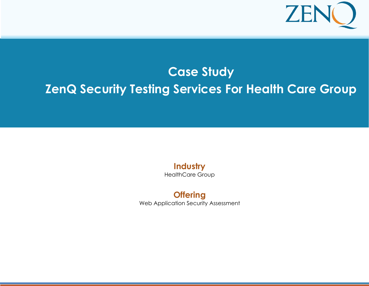

# CASE STUDY: PERFORMANCE TESTING **Case Study ZenQ Security Testing Services For Health Care Group**

**Industry** HealthCare Group

**Offering** Web Application Security Assessment